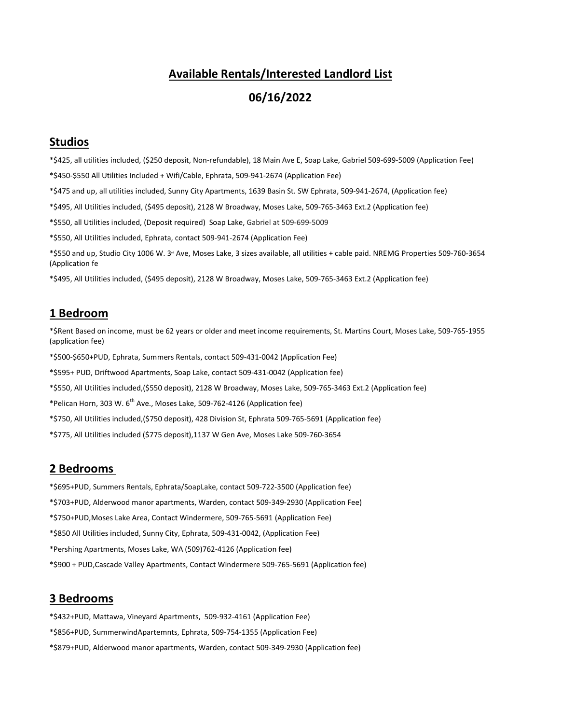### **Available Rentals/Interested Landlord List**

## **06/16/2022**

### **Studios**

\*\$425, all utilities included, (\$250 deposit, Non-refundable), 18 Main Ave E, Soap Lake, Gabriel 509-699-5009 (Application Fee)

\*\$450-\$550 All Utilities Included + Wifi/Cable, Ephrata, 509-941-2674 (Application Fee)

\*\$475 and up, all utilities included, Sunny City Apartments, 1639 Basin St. SW Ephrata, 509-941-2674, (Application fee)

\*\$495, All Utilities included, (\$495 deposit), 2128 W Broadway, Moses Lake, 509-765-3463 Ext.2 (Application fee)

\*\$550, all Utilities included, (Deposit required) Soap Lake, Gabriel at 509-699-5009

\*\$550, All Utilities included, Ephrata, contact 509-941-2674 (Application Fee)

\*\$550 and up, Studio City 1006 W. 3<sup>d</sup> Ave, Moses Lake, 3 sizes available, all utilities + cable paid. NREMG Properties 509-760-3654 (Application fe

\*\$495, All Utilities included, (\$495 deposit), 2128 W Broadway, Moses Lake, 509-765-3463 Ext.2 (Application fee)

### **1 Bedroom**

\*\$Rent Based on income, must be 62 years or older and meet income requirements, St. Martins Court, Moses Lake, 509-765-1955 (application fee)

\*\$500-\$650+PUD, Ephrata, Summers Rentals, contact 509-431-0042 (Application Fee)

\*\$595+ PUD, Driftwood Apartments, Soap Lake, contact 509-431-0042 (Application fee)

\*\$550, All Utilities included,(\$550 deposit), 2128 W Broadway, Moses Lake, 509-765-3463 Ext.2 (Application fee)

\*Pelican Horn, 303 W. 6th Ave., Moses Lake, 509-762-4126 (Application fee)

\*\$750, All Utilities included,(\$750 deposit), 428 Division St, Ephrata 509-765-5691 (Application fee)

\*\$775, All Utilities included (\$775 deposit),1137 W Gen Ave, Moses Lake 509-760-3654

#### **2 Bedrooms**

\*\$695+PUD, Summers Rentals, Ephrata/SoapLake, contact 509-722-3500 (Application fee)

\*\$703+PUD, Alderwood manor apartments, Warden, contact 509-349-2930 (Application Fee)

\*\$750+PUD,Moses Lake Area, Contact Windermere, 509-765-5691 (Application Fee)

\*\$850 All Utilities included, Sunny City, Ephrata, 509-431-0042, (Application Fee)

\*Pershing Apartments, Moses Lake, WA (509)762-4126 (Application fee)

\*\$900 + PUD,Cascade Valley Apartments, Contact Windermere 509-765-5691 (Application fee)

#### **3 Bedrooms**

\*\$432+PUD, Mattawa, Vineyard Apartments, 509-932-4161 (Application Fee)

\*\$856+PUD, SummerwindApartemnts, Ephrata, 509-754-1355 (Application Fee)

\*\$879+PUD, Alderwood manor apartments, Warden, contact 509-349-2930 (Application fee)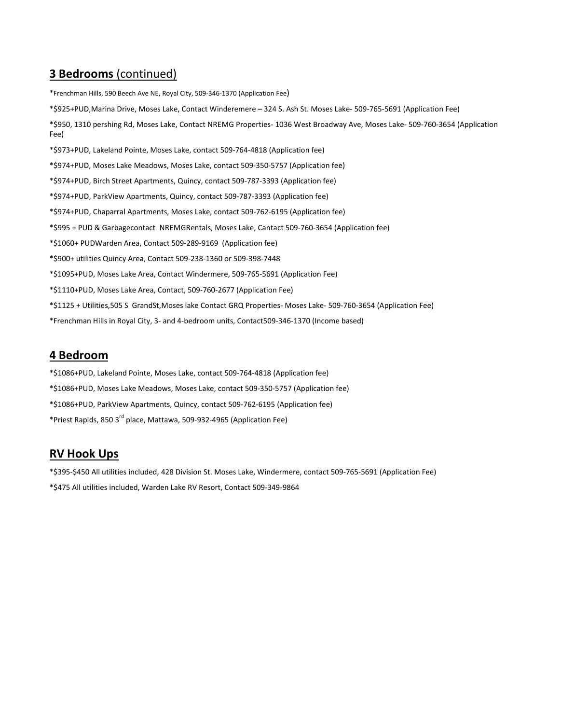# **3 Bedrooms** (continued)

\*Frenchman Hills, 590 Beech Ave NE, Royal City, 509-346-1370 (Application Fee)

\*\$925+PUD,Marina Drive, Moses Lake, Contact Winderemere – 324 S. Ash St. Moses Lake- 509-765-5691 (Application Fee)

\*\$950, 1310 pershing Rd, Moses Lake, Contact NREMG Properties- 1036 West Broadway Ave, Moses Lake- 509-760-3654 (Application Fee)

\*\$973+PUD, Lakeland Pointe, Moses Lake, contact 509-764-4818 (Application fee)

\*\$974+PUD, Moses Lake Meadows, Moses Lake, contact 509-350-5757 (Application fee)

- \*\$974+PUD, Birch Street Apartments, Quincy, contact 509-787-3393 (Application fee)
- \*\$974+PUD, ParkView Apartments, Quincy, contact 509-787-3393 (Application fee)
- \*\$974+PUD, Chaparral Apartments, Moses Lake, contact 509-762-6195 (Application fee)
- \*\$995 + PUD & Garbagecontact NREMGRentals, Moses Lake, Cantact 509-760-3654 (Application fee)
- \*\$1060+ PUDWarden Area, Contact 509-289-9169 (Application fee)
- \*\$900+ utilities Quincy Area, Contact 509-238-1360 or 509-398-7448
- \*\$1095+PUD, Moses Lake Area, Contact Windermere, 509-765-5691 (Application Fee)
- \*\$1110+PUD, Moses Lake Area, Contact, 509-760-2677 (Application Fee)
- \*\$1125 + Utilities,505 S GrandSt,Moses lake Contact GRQ Properties- Moses Lake- 509-760-3654 (Application Fee)
- \*Frenchman Hills in Royal City, 3- and 4-bedroom units, Contact509-346-1370 (Income based)

### **4 Bedroom**

- \*\$1086+PUD, Lakeland Pointe, Moses Lake, contact 509-764-4818 (Application fee)
- \*\$1086+PUD, Moses Lake Meadows, Moses Lake, contact 509-350-5757 (Application fee)
- \*\$1086+PUD, ParkView Apartments, Quincy, contact 509-762-6195 (Application fee)
- \*Priest Rapids, 850 3rd place, Mattawa, 509-932-4965 (Application Fee)

# **RV Hook Ups**

\*\$395-\$450 All utilities included, 428 Division St. Moses Lake, Windermere, contact 509-765-5691 (Application Fee)

\*\$475 All utilities included, Warden Lake RV Resort, Contact 509-349-9864